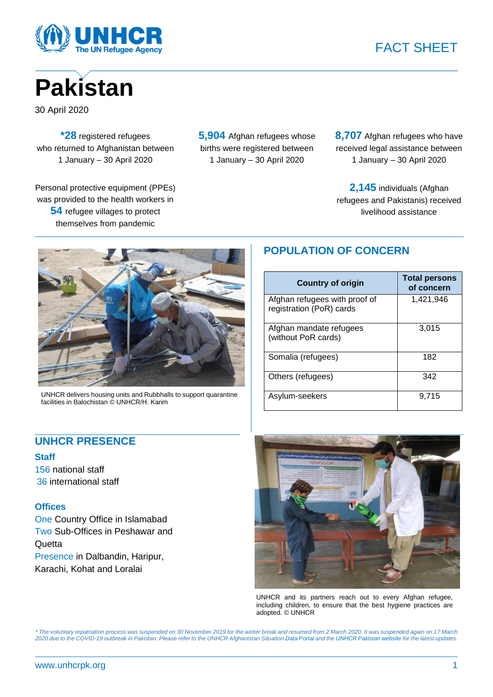





30 April 2020

**\*28** registered refugees who returned to Afghanistan between 1 January – 30 April 2020

Personal protective equipment (PPEs) was provided to the health workers in **54** refugee villages to protect themselves from pandemic

**5,904** Afghan refugees whose births were registered between 1 January – 30 April 2020

**8,707** Afghan refugees who have received legal assistance between 1 January – 30 April 2020

**2,145** individuals (Afghan refugees and Pakistanis) received livelihood assistance



UNHCR delivers housing units and Rubbhalls to support quarantine facilities in Balochistan © UNHCR/H. Karim

## **UNHCR PRESENCE**

### **Staff**

156 national staff 36 international staff

### **Offices**

One Country Office in Islamabad Two Sub-Offices in Peshawar and **Quetta** Presence in Dalbandin, Haripur, Karachi, Kohat and Loralai

# **POPULATION OF CONCERN**

| <b>Country of origin</b>                                  | <b>Total persons</b><br>of concern |
|-----------------------------------------------------------|------------------------------------|
| Afghan refugees with proof of<br>registration (PoR) cards | 1,421,946                          |
| Afghan mandate refugees<br>(without PoR cards)            | 3,015                              |
| Somalia (refugees)                                        | 182                                |
| Others (refugees)                                         | 342                                |
| Asylum-seekers                                            | 9,715                              |



UNHCR and its partners reach out to every Afghan refugee, including children, to ensure that the best hygiene practices are adopted. © UNHCR

*\* The voluntary repatriation process was suspended on 30 November 2019 for the winter break and resumed from 2 March 2020. It was suspended again on 17 March 2020 due to the COVID-19 outbreak in Pakistan. Please refer to the UNHCR Afghanistan Situatio[n Data Portal](https://data2.unhcr.org/en/country/pak) and th[e UNHCR Pakistan website](https://unhcrpk.org/) for the latest updates.*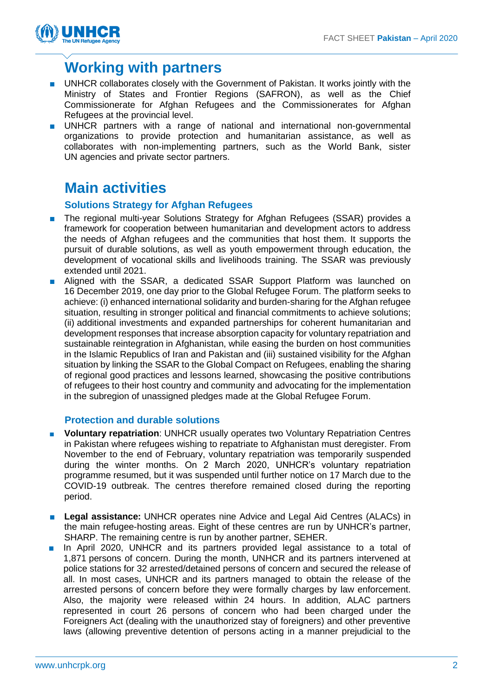

# **Working with partners**

- UNHCR collaborates closely with the Government of Pakistan. It works jointly with the Ministry of States and Frontier Regions (SAFRON), as well as the Chief Commissionerate for Afghan Refugees and the Commissionerates for Afghan Refugees at the provincial level.
- UNHCR partners with a range of national and international non-governmental organizations to provide protection and humanitarian assistance, as well as collaborates with non-implementing partners, such as the World Bank, sister UN agencies and private sector partners.

# **Main activities**

## **Solutions Strategy for Afghan Refugees**

- The regional multi-year Solutions Strategy for Afghan Refugees (SSAR) provides a framework for cooperation between humanitarian and development actors to address the needs of Afghan refugees and the communities that host them. It supports the pursuit of durable solutions, as well as youth empowerment through education, the development of vocational skills and livelihoods training. The SSAR was previously extended until 2021.
- Aligned with the SSAR, a dedicated SSAR Support Platform was launched on 16 December 2019, one day prior to the Global Refugee Forum. The platform seeks to achieve: (i) enhanced international solidarity and burden-sharing for the Afghan refugee situation, resulting in stronger political and financial commitments to achieve solutions; (ii) additional investments and expanded partnerships for coherent humanitarian and development responses that increase absorption capacity for voluntary repatriation and sustainable reintegration in Afghanistan, while easing the burden on host communities in the Islamic Republics of Iran and Pakistan and (iii) sustained visibility for the Afghan situation by linking the SSAR to the Global Compact on Refugees, enabling the sharing of regional good practices and lessons learned, showcasing the positive contributions of refugees to their host country and community and advocating for the implementation in the subregion of unassigned pledges made at the Global Refugee Forum.

## **Protection and durable solutions**

- **Voluntary repatriation**: UNHCR usually operates two Voluntary Repatriation Centres in Pakistan where refugees wishing to repatriate to Afghanistan must deregister. From November to the end of February, voluntary repatriation was temporarily suspended during the winter months. On 2 March 2020, UNHCR's voluntary repatriation programme resumed, but it was suspended until further notice on 17 March due to the COVID-19 outbreak. The centres therefore remained closed during the reporting period.
- Legal assistance: UNHCR operates nine Advice and Legal Aid Centres (ALACs) in the main refugee-hosting areas. Eight of these centres are run by UNHCR's partner, SHARP. The remaining centre is run by another partner, SEHER.
- In April 2020, UNHCR and its partners provided legal assistance to a total of 1,871 persons of concern. During the month, UNHCR and its partners intervened at police stations for 32 arrested/detained persons of concern and secured the release of all. In most cases, UNHCR and its partners managed to obtain the release of the arrested persons of concern before they were formally charges by law enforcement. Also, the majority were released within 24 hours. In addition, ALAC partners represented in court 26 persons of concern who had been charged under the Foreigners Act (dealing with the unauthorized stay of foreigners) and other preventive laws (allowing preventive detention of persons acting in a manner prejudicial to the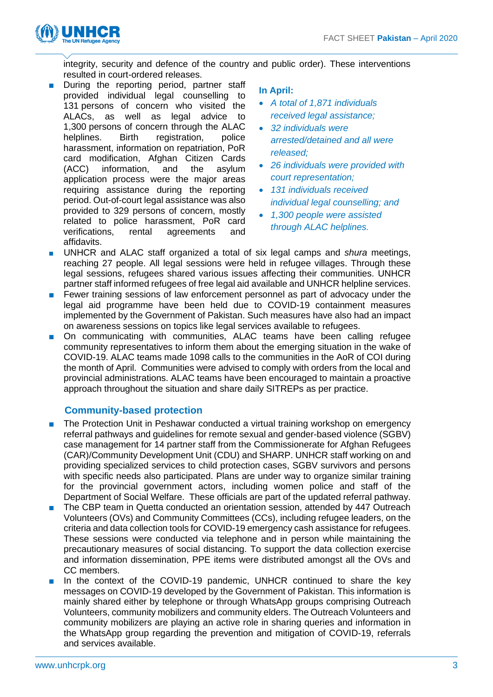

integrity, security and defence of the country and public order). These interventions resulted in court-ordered releases.

■ During the reporting period, partner staff provided individual legal counselling to 131 persons of concern who visited the ALACs, as well as legal advice to 1,300 persons of concern through the ALAC helplines. Birth registration, police harassment, information on repatriation, PoR card modification, Afghan Citizen Cards (ACC) information, and the asylum application process were the major areas requiring assistance during the reporting period. Out-of-court legal assistance was also provided to 329 persons of concern, mostly related to police harassment, PoR card verifications, rental agreements and affidavits.

## **In April:**

- *A total of 1,871 individuals received legal assistance;*
- *32 individuals were arrested/detained and all were released;*
- *26 individuals were provided with court representation;*
- *131 individuals received individual legal counselling; and*
- *1,300 people were assisted through ALAC helplines.*
- UNHCR and ALAC staff organized a total of six legal camps and *shura* meetings, reaching 27 people. All legal sessions were held in refugee villages. Through these legal sessions, refugees shared various issues affecting their communities. UNHCR partner staff informed refugees of free legal aid available and UNHCR helpline services.
- Fewer training sessions of law enforcement personnel as part of advocacy under the legal aid programme have been held due to COVID-19 containment measures implemented by the Government of Pakistan. Such measures have also had an impact on awareness sessions on topics like legal services available to refugees.
- On communicating with communities, ALAC teams have been calling refugee community representatives to inform them about the emerging situation in the wake of COVID-19. ALAC teams made 1098 calls to the communities in the AoR of COI during the month of April. Communities were advised to comply with orders from the local and provincial administrations. ALAC teams have been encouraged to maintain a proactive approach throughout the situation and share daily SITREPs as per practice.

## **Community-based protection**

- The Protection Unit in Peshawar conducted a virtual training workshop on emergency referral pathways and guidelines for remote sexual and gender-based violence (SGBV) case management for 14 partner staff from the Commissionerate for Afghan Refugees (CAR)/Community Development Unit (CDU) and SHARP. UNHCR staff working on and providing specialized services to child protection cases, SGBV survivors and persons with specific needs also participated. Plans are under way to organize similar training for the provincial government actors, including women police and staff of the Department of Social Welfare. These officials are part of the updated referral pathway.
- The CBP team in Quetta conducted an orientation session, attended by 447 Outreach Volunteers (OVs) and Community Committees (CCs), including refugee leaders, on the criteria and data collection tools for COVID-19 emergency cash assistance for refugees. These sessions were conducted via telephone and in person while maintaining the precautionary measures of social distancing. To support the data collection exercise and information dissemination, PPE items were distributed amongst all the OVs and CC members.
- In the context of the COVID-19 pandemic, UNHCR continued to share the key messages on COVID-19 developed by the Government of Pakistan. This information is mainly shared either by telephone or through WhatsApp groups comprising Outreach Volunteers, community mobilizers and community elders. The Outreach Volunteers and community mobilizers are playing an active role in sharing queries and information in the WhatsApp group regarding the prevention and mitigation of COVID-19, referrals and services available.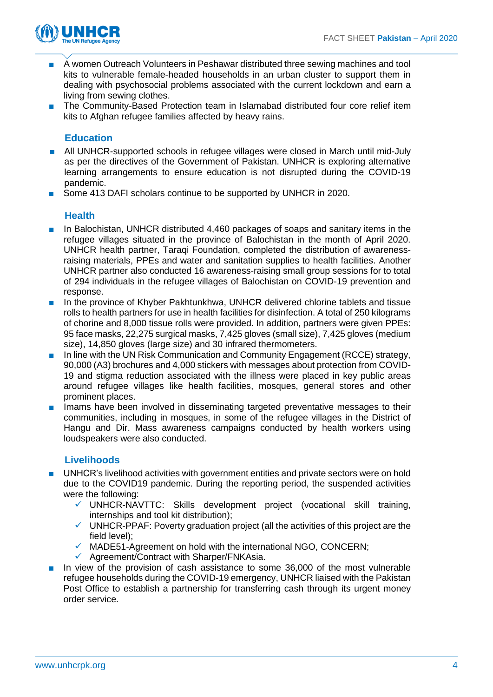

- A women Outreach Volunteers in Peshawar distributed three sewing machines and tool kits to vulnerable female-headed households in an urban cluster to support them in dealing with psychosocial problems associated with the current lockdown and earn a living from sewing clothes.
- The Community-Based Protection team in Islamabad distributed four core relief item kits to Afghan refugee families affected by heavy rains.

## **Education**

- All UNHCR-supported schools in refugee villages were closed in March until mid-July as per the directives of the Government of Pakistan. UNHCR is exploring alternative learning arrangements to ensure education is not disrupted during the COVID-19 pandemic.
- Some 413 DAFI scholars continue to be supported by UNHCR in 2020.

## **Health**

- In Balochistan, UNHCR distributed 4,460 packages of soaps and sanitary items in the refugee villages situated in the province of Balochistan in the month of April 2020. UNHCR health partner, Taraqi Foundation, completed the distribution of awarenessraising materials, PPEs and water and sanitation supplies to health facilities. Another UNHCR partner also conducted 16 awareness-raising small group sessions for to total of 294 individuals in the refugee villages of Balochistan on COVID-19 prevention and response.
- In the province of Khyber Pakhtunkhwa, UNHCR delivered chlorine tablets and tissue rolls to health partners for use in health facilities for disinfection. A total of 250 kilograms of chorine and 8,000 tissue rolls were provided. In addition, partners were given PPEs: 95 face masks, 22,275 surgical masks, 7,425 gloves (small size), 7,425 gloves (medium size), 14,850 gloves (large size) and 30 infrared thermometers.
- In line with the UN Risk Communication and Community Engagement (RCCE) strategy, 90,000 (A3) brochures and 4,000 stickers with messages about protection from COVID-19 and stigma reduction associated with the illness were placed in key public areas around refugee villages like health facilities, mosques, general stores and other prominent places.
- Imams have been involved in disseminating targeted preventative messages to their communities, including in mosques, in some of the refugee villages in the District of Hangu and Dir. Mass awareness campaigns conducted by health workers using loudspeakers were also conducted.

## **Livelihoods**

- UNHCR's livelihood activities with government entities and private sectors were on hold due to the COVID19 pandemic. During the reporting period, the suspended activities were the following:
	- $\checkmark$  UNHCR-NAVTTC: Skills development project (vocational skill training, internships and tool kit distribution);
	- $\checkmark$  UNHCR-PPAF: Poverty graduation project (all the activities of this project are the field level);
	- $\checkmark$  MADE51-Agreement on hold with the international NGO, CONCERN;
	- ✓ Agreement/Contract with Sharper/FNKAsia.
- In view of the provision of cash assistance to some 36,000 of the most vulnerable refugee households during the COVID-19 emergency, UNHCR liaised with the Pakistan Post Office to establish a partnership for transferring cash through its urgent money order service.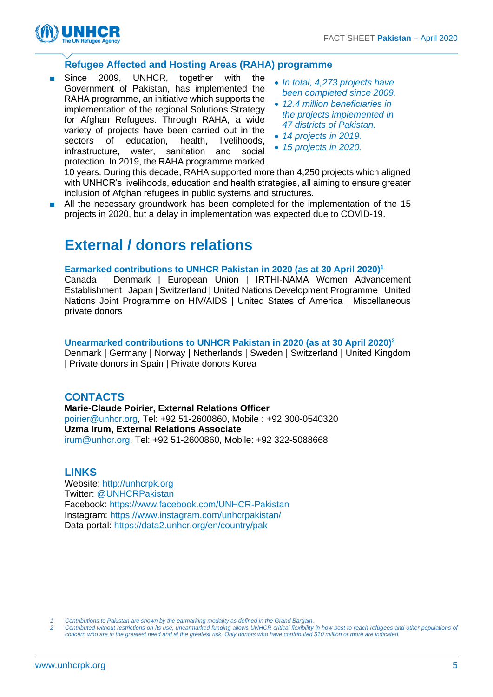

## **Refugee Affected and Hosting Areas (RAHA) programme**

- Since 2009, UNHCR, together with the Government of Pakistan, has implemented the RAHA programme, an initiative which supports the implementation of the regional Solutions Strategy for Afghan Refugees. Through RAHA, a wide variety of projects have been carried out in the sectors of education, health, livelihoods, infrastructure, water, sanitation and social protection. In 2019, the RAHA programme marked
- *In total, 4,273 projects have been completed since 2009.*
- *12.4 million beneficiaries in the projects implemented in 47 districts of Pakistan.*
- *14 projects in 2019.*
- *15 projects in 2020.*

10 years. During this decade, RAHA supported more than 4,250 projects which aligned with UNHCR's livelihoods, education and health strategies, all aiming to ensure greater inclusion of Afghan refugees in public systems and structures.

■ All the necessary groundwork has been completed for the implementation of the 15 projects in 2020, but a delay in implementation was expected due to COVID-19.

# **External / donors relations**

#### **Earmarked contributions to UNHCR Pakistan in 2020 (as at 30 April 2020)<sup>1</sup>**

Canada | Denmark | European Union | IRTHI-NAMA Women Advancement Establishment | Japan | Switzerland | United Nations Development Programme | United Nations Joint Programme on HIV/AIDS | United States of America | Miscellaneous private donors

### **Unearmarked contributions to UNHCR Pakistan in 2020 (as at 30 April 2020)<sup>2</sup>**

Denmark | Germany | Norway | Netherlands | Sweden | Switzerland | United Kingdom | Private donors in Spain | Private donors Korea

## **CONTACTS**

**Marie-Claude Poirier, External Relations Officer** [poirier@unhcr.org,](mailto:poirier@unhcr.org) Tel: +92 51-2600860, Mobile : +92 300-0540320 **Uzma Irum, External Relations Associate** [irum@unhcr.org,](mailto:irum@unhcr.org) Tel: +92 51-2600860, Mobile: +92 322-5088668

### **LINKS**

Website: [http://unhcrpk.org](http://unhcrpk.org/) Twitter: [@UNHCRPakistan](https://twitter.com/UNHCRPakistan)  Facebook: [https://www.facebook.com/UNHCR-Pakistan](https://www.facebook.com/UNHCR-Pakistan-192783240782982/) Instagram:<https://www.instagram.com/unhcrpakistan/> Data portal:<https://data2.unhcr.org/en/country/pak>

*1 Contributions to Pakistan are shown by the earmarking modality as defined in the Grand Bargain.*

*2 Contributed without restrictions on its use, unearmarked funding allows UNHCR critical flexibility in how best to reach refugees and other populations of concern who are in the greatest need and at the greatest risk. Only donors who have contributed \$10 million or more are indicated.*